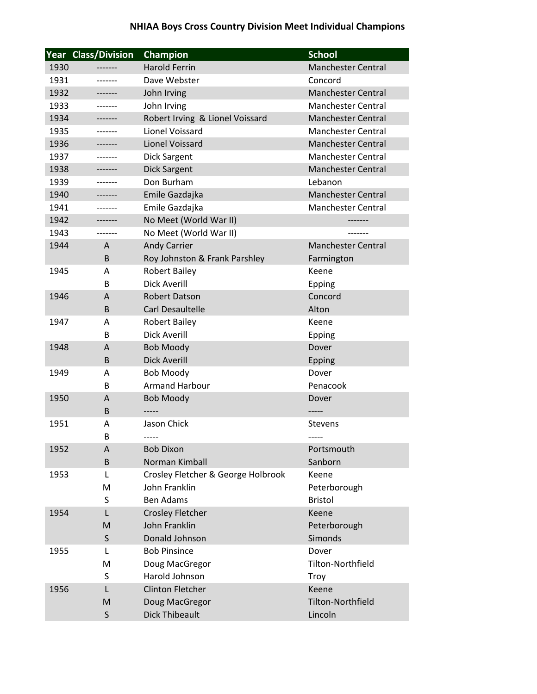|      | <b>Year Class/Division</b> | Champion                                 | <b>School</b>             |
|------|----------------------------|------------------------------------------|---------------------------|
| 1930 | -------                    | <b>Harold Ferrin</b>                     | <b>Manchester Central</b> |
| 1931 | -------                    | Dave Webster                             | Concord                   |
| 1932 |                            | John Irving                              | <b>Manchester Central</b> |
| 1933 | -------                    | John Irving                              | <b>Manchester Central</b> |
| 1934 | -------                    | Robert Irving & Lionel Voissard          | <b>Manchester Central</b> |
| 1935 | -------                    | Lionel Voissard                          | <b>Manchester Central</b> |
| 1936 | -------                    | Lionel Voissard                          | <b>Manchester Central</b> |
| 1937 | -------                    | <b>Dick Sargent</b>                      | <b>Manchester Central</b> |
| 1938 |                            | <b>Dick Sargent</b>                      | <b>Manchester Central</b> |
| 1939 |                            | Don Burham                               | Lebanon                   |
| 1940 | -------                    | Emile Gazdajka                           | <b>Manchester Central</b> |
| 1941 | -------                    | Emile Gazdajka                           | <b>Manchester Central</b> |
| 1942 | -------                    | No Meet (World War II)                   |                           |
| 1943 | -------                    | No Meet (World War II)                   |                           |
| 1944 | A                          | <b>Andy Carrier</b>                      | <b>Manchester Central</b> |
|      | B                          | Roy Johnston & Frank Parshley            | Farmington                |
| 1945 | A                          | <b>Robert Bailey</b>                     | Keene                     |
|      | B                          | <b>Dick Averill</b>                      | <b>Epping</b>             |
| 1946 | A                          | <b>Robert Datson</b>                     | Concord                   |
|      | B                          | <b>Carl Desaultelle</b>                  | Alton                     |
| 1947 | A                          | <b>Robert Bailey</b>                     | Keene                     |
|      | B                          | <b>Dick Averill</b>                      | <b>Epping</b>             |
| 1948 | A                          | <b>Bob Moody</b>                         | Dover                     |
|      | B                          | <b>Dick Averill</b>                      | <b>Epping</b>             |
| 1949 | A                          | <b>Bob Moody</b>                         | Dover                     |
|      | B                          | <b>Armand Harbour</b>                    | Penacook                  |
| 1950 | A                          | <b>Bob Moody</b>                         | Dover                     |
|      | B                          |                                          |                           |
| 1951 | Α                          | Jason Chick                              | <b>Stevens</b>            |
|      | B                          | -----                                    |                           |
| 1952 | A                          | <b>Bob Dixon</b>                         | Portsmouth                |
|      | B                          | Norman Kimball                           | Sanborn                   |
| 1953 | L                          | Crosley Fletcher & George Holbrook       | Keene                     |
|      | M                          | John Franklin                            | Peterborough              |
|      | S                          | <b>Ben Adams</b>                         | <b>Bristol</b>            |
| 1954 | L                          | <b>Crosley Fletcher</b><br>John Franklin | Keene                     |
|      | M                          | Donald Johnson                           | Peterborough<br>Simonds   |
| 1955 | S<br>L                     | <b>Bob Pinsince</b>                      | Dover                     |
|      | M                          | Doug MacGregor                           | Tilton-Northfield         |
|      | S                          | Harold Johnson                           | Troy                      |
| 1956 | L                          | <b>Clinton Fletcher</b>                  | Keene                     |
|      | M                          | Doug MacGregor                           | <b>Tilton-Northfield</b>  |
|      | S                          | <b>Dick Thibeault</b>                    | Lincoln                   |
|      |                            |                                          |                           |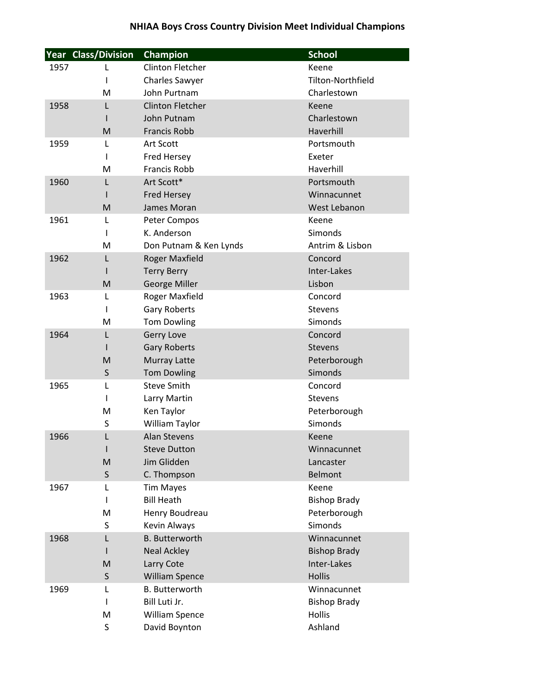|      | <b>Year Class/Division</b> | Champion                       | <b>School</b>           |
|------|----------------------------|--------------------------------|-------------------------|
| 1957 | L                          | <b>Clinton Fletcher</b>        | Keene                   |
|      | ı                          | <b>Charles Sawyer</b>          | Tilton-Northfield       |
|      | M                          | John Purtnam                   | Charlestown             |
| 1958 | L                          | <b>Clinton Fletcher</b>        | Keene                   |
|      |                            | John Putnam                    | Charlestown             |
|      | M                          | <b>Francis Robb</b>            | Haverhill               |
| 1959 | L                          | Art Scott                      | Portsmouth              |
|      | 1                          | <b>Fred Hersey</b>             | Exeter                  |
|      | M                          | <b>Francis Robb</b>            | Haverhill               |
| 1960 | L                          | Art Scott*                     | Portsmouth              |
|      | ı                          | <b>Fred Hersey</b>             | Winnacunnet             |
|      | M                          | James Moran                    | West Lebanon            |
| 1961 | L                          | Peter Compos                   | Keene                   |
|      | I                          | K. Anderson                    | Simonds                 |
|      | M                          | Don Putnam & Ken Lynds         | Antrim & Lisbon         |
| 1962 | L                          | <b>Roger Maxfield</b>          | Concord                 |
|      |                            | <b>Terry Berry</b>             | Inter-Lakes             |
|      | M                          | <b>George Miller</b>           | Lisbon                  |
| 1963 | L                          | Roger Maxfield                 | Concord                 |
|      | I                          | Gary Roberts                   | <b>Stevens</b>          |
|      | M                          | <b>Tom Dowling</b>             | Simonds                 |
| 1964 | L                          | Gerry Love                     | Concord                 |
|      | ı                          | <b>Gary Roberts</b>            | <b>Stevens</b>          |
|      | M                          | <b>Murray Latte</b>            | Peterborough            |
|      | S                          | <b>Tom Dowling</b>             | Simonds                 |
| 1965 | L                          | <b>Steve Smith</b>             | Concord                 |
|      | ı                          | Larry Martin                   | <b>Stevens</b>          |
|      | M                          | Ken Taylor                     | Peterborough<br>Simonds |
| 1966 | S                          | William Taylor<br>Alan Stevens |                         |
|      | ı                          | <b>Steve Dutton</b>            | Keene<br>Winnacunnet    |
|      | M                          | Jim Glidden                    | Lancaster               |
|      | S                          | C. Thompson                    | <b>Belmont</b>          |
| 1967 | L                          | <b>Tim Mayes</b>               | Keene                   |
|      | L                          | <b>Bill Heath</b>              | <b>Bishop Brady</b>     |
|      | M                          | Henry Boudreau                 | Peterborough            |
|      | S                          | Kevin Always                   | Simonds                 |
| 1968 | L                          | <b>B.</b> Butterworth          | Winnacunnet             |
|      | I                          | <b>Neal Ackley</b>             | <b>Bishop Brady</b>     |
|      | M                          | Larry Cote                     | Inter-Lakes             |
|      | $\mathsf S$                | <b>William Spence</b>          | <b>Hollis</b>           |
| 1969 | L                          | <b>B.</b> Butterworth          | Winnacunnet             |
|      | I                          | Bill Luti Jr.                  | <b>Bishop Brady</b>     |
|      | M                          | <b>William Spence</b>          | <b>Hollis</b>           |
|      | S                          | David Boynton                  | Ashland                 |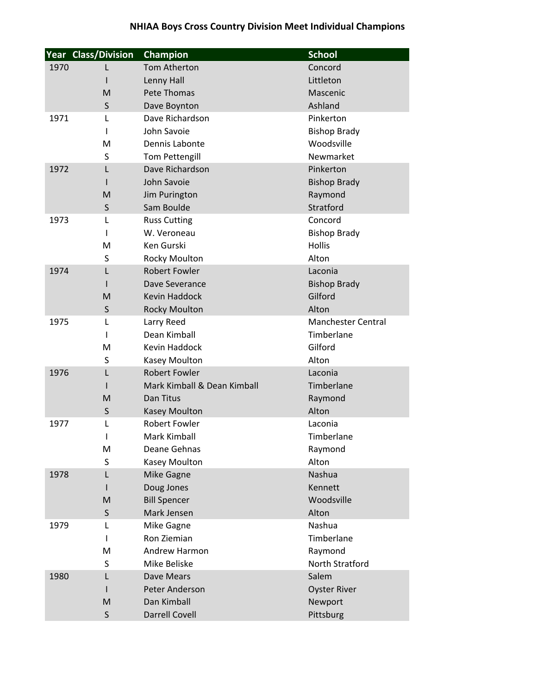|      | <b>Year Class/Division</b> | Champion                                            | <b>School</b>             |
|------|----------------------------|-----------------------------------------------------|---------------------------|
| 1970 | L                          | <b>Tom Atherton</b>                                 | Concord                   |
|      | I                          | Lenny Hall                                          | Littleton                 |
|      | M                          | Pete Thomas                                         | Mascenic                  |
|      | S                          | Dave Boynton                                        | Ashland                   |
| 1971 | L                          | Dave Richardson                                     | Pinkerton                 |
|      |                            | John Savoie                                         | <b>Bishop Brady</b>       |
|      | M                          | Dennis Labonte                                      | Woodsville                |
|      | S                          | <b>Tom Pettengill</b>                               | Newmarket                 |
| 1972 | L                          | Dave Richardson                                     | Pinkerton                 |
|      |                            | John Savoie                                         | <b>Bishop Brady</b>       |
|      | M                          | Jim Purington                                       | Raymond                   |
|      | S                          | Sam Boulde                                          | Stratford                 |
| 1973 | L                          | <b>Russ Cutting</b>                                 | Concord                   |
|      | I.                         | W. Veroneau                                         | <b>Bishop Brady</b>       |
|      | M                          | <b>Ken Gurski</b>                                   | Hollis                    |
|      | S                          | <b>Rocky Moulton</b>                                | Alton                     |
| 1974 | L                          | <b>Robert Fowler</b>                                | Laconia                   |
|      |                            | Dave Severance                                      | <b>Bishop Brady</b>       |
|      | M                          | <b>Kevin Haddock</b>                                | Gilford                   |
|      | S                          | <b>Rocky Moulton</b>                                | Alton                     |
| 1975 | L                          | Larry Reed                                          | <b>Manchester Central</b> |
|      | ı                          | Dean Kimball                                        | Timberlane                |
|      | M                          | Kevin Haddock                                       | Gilford                   |
|      | S                          | Kasey Moulton                                       | Alton                     |
| 1976 | L                          | <b>Robert Fowler</b><br>Mark Kimball & Dean Kimball | Laconia                   |
|      | M                          | Dan Titus                                           | Timberlane                |
|      | S                          | <b>Kasey Moulton</b>                                | Raymond<br>Alton          |
| 1977 | L                          | <b>Robert Fowler</b>                                | Laconia                   |
|      | I                          | <b>Mark Kimball</b>                                 | Timberlane                |
|      | M                          | Deane Gehnas                                        | Raymond                   |
|      | S                          | Kasey Moulton                                       | Alton                     |
| 1978 | L                          | Mike Gagne                                          | Nashua                    |
|      | I                          | Doug Jones                                          | Kennett                   |
|      | M                          | <b>Bill Spencer</b>                                 | Woodsville                |
|      | S                          | Mark Jensen                                         | Alton                     |
| 1979 | L                          | Mike Gagne                                          | Nashua                    |
|      | I.                         | Ron Ziemian                                         | Timberlane                |
|      | M                          | Andrew Harmon                                       | Raymond                   |
|      | S                          | Mike Beliske                                        | North Stratford           |
| 1980 | L                          | Dave Mears                                          | Salem                     |
|      |                            | Peter Anderson                                      | <b>Oyster River</b>       |
|      | M                          | Dan Kimball                                         | Newport                   |
|      | $\sf S$                    | <b>Darrell Covell</b>                               | Pittsburg                 |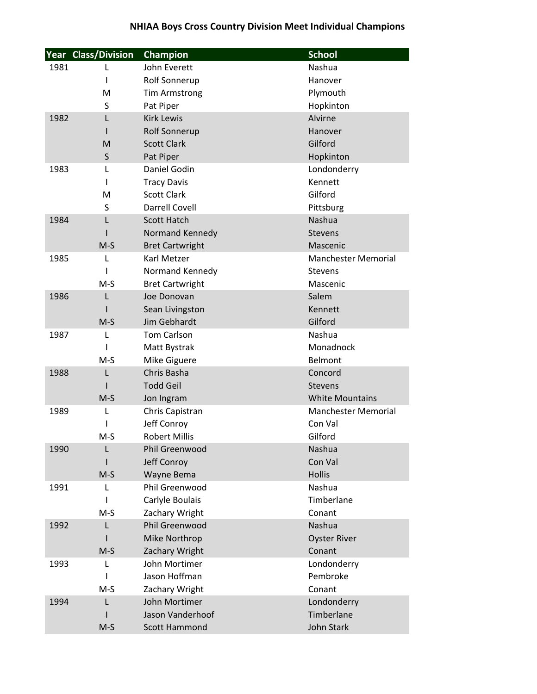|      | <b>Year Class/Division</b> | Champion                      | <b>School</b>              |
|------|----------------------------|-------------------------------|----------------------------|
| 1981 | L                          | John Everett                  | Nashua                     |
|      |                            | Rolf Sonnerup                 | Hanover                    |
|      | M                          | <b>Tim Armstrong</b>          | Plymouth                   |
|      | S                          | Pat Piper                     | Hopkinton                  |
| 1982 | L                          | <b>Kirk Lewis</b>             | Alvirne                    |
|      |                            | Rolf Sonnerup                 | Hanover                    |
|      | M                          | <b>Scott Clark</b>            | Gilford                    |
|      | S                          | Pat Piper                     | Hopkinton                  |
| 1983 | L                          | Daniel Godin                  | Londonderry                |
|      |                            | <b>Tracy Davis</b>            | Kennett                    |
|      | M                          | <b>Scott Clark</b>            | Gilford                    |
|      | S                          | <b>Darrell Covell</b>         | Pittsburg                  |
| 1984 | L                          | <b>Scott Hatch</b>            | <b>Nashua</b>              |
|      |                            | Normand Kennedy               | <b>Stevens</b>             |
|      | $M-S$                      | <b>Bret Cartwright</b>        | Mascenic                   |
| 1985 | L                          | <b>Karl Metzer</b>            | <b>Manchester Memorial</b> |
|      |                            | Normand Kennedy               | <b>Stevens</b>             |
|      | $M-S$                      | <b>Bret Cartwright</b>        | Mascenic                   |
| 1986 | L                          | Joe Donovan                   | Salem                      |
|      |                            | Sean Livingston               | Kennett                    |
|      | $M-S$                      | Jim Gebhardt                  | Gilford                    |
| 1987 | L                          | Tom Carlson                   | Nashua                     |
|      |                            | Matt Bystrak                  | Monadnock                  |
|      | $M-S$                      | Mike Giguere                  | Belmont                    |
| 1988 | L                          | Chris Basha                   | Concord                    |
|      |                            | <b>Todd Geil</b>              | <b>Stevens</b>             |
|      | $M-S$                      | Jon Ingram                    | <b>White Mountains</b>     |
| 1989 | L                          | Chris Capistran               | <b>Manchester Memorial</b> |
|      |                            | Jeff Conroy                   | Con Val                    |
|      | $M-S$                      | <b>Robert Millis</b>          | Gilford                    |
| 1990 | L                          | Phil Greenwood<br>Jeff Conroy | Nashua<br>Con Val          |
|      | $M-S$                      | Wayne Bema                    | <b>Hollis</b>              |
| 1991 | L                          | Phil Greenwood                | Nashua                     |
|      |                            | Carlyle Boulais               | Timberlane                 |
|      | $M-S$                      | Zachary Wright                | Conant                     |
| 1992 | L                          | <b>Phil Greenwood</b>         | Nashua                     |
|      |                            | Mike Northrop                 | <b>Oyster River</b>        |
|      | $M-S$                      | Zachary Wright                | Conant                     |
| 1993 | L                          | John Mortimer                 | Londonderry                |
|      |                            | Jason Hoffman                 | Pembroke                   |
|      | $M-S$                      | Zachary Wright                | Conant                     |
| 1994 | L                          | John Mortimer                 | Londonderry                |
|      |                            | Jason Vanderhoof              | Timberlane                 |
|      | $M-S$                      | Scott Hammond                 | John Stark                 |
|      |                            |                               |                            |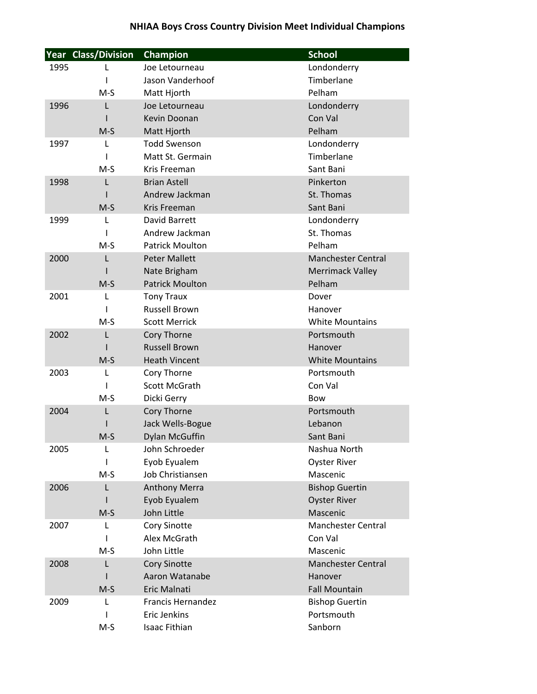|      | Year Class/Division | Champion               | <b>School</b>             |
|------|---------------------|------------------------|---------------------------|
| 1995 | L                   | Joe Letourneau         | Londonderry               |
|      | ı                   | Jason Vanderhoof       | Timberlane                |
|      | $M-S$               | Matt Hjorth            | Pelham                    |
| 1996 | L                   | Joe Letourneau         | Londonderry               |
|      |                     | Kevin Doonan           | Con Val                   |
|      | $M-S$               | Matt Hjorth            | Pelham                    |
| 1997 | L                   | <b>Todd Swenson</b>    | Londonderry               |
|      | ı                   | Matt St. Germain       | Timberlane                |
|      | $M-S$               | Kris Freeman           | Sant Bani                 |
| 1998 | L                   | <b>Brian Astell</b>    | Pinkerton                 |
|      |                     | Andrew Jackman         | St. Thomas                |
|      | $M-S$               | Kris Freeman           | Sant Bani                 |
| 1999 | L                   | David Barrett          | Londonderry               |
|      |                     | Andrew Jackman         | St. Thomas                |
|      | $M-S$               | <b>Patrick Moulton</b> | Pelham                    |
| 2000 | L                   | <b>Peter Mallett</b>   | <b>Manchester Central</b> |
|      |                     | Nate Brigham           | <b>Merrimack Valley</b>   |
|      | $M-S$               | <b>Patrick Moulton</b> | Pelham                    |
| 2001 | L                   | <b>Tony Traux</b>      | Dover                     |
|      | ı                   | <b>Russell Brown</b>   | Hanover                   |
|      | $M-S$               | <b>Scott Merrick</b>   | <b>White Mountains</b>    |
| 2002 | L                   | Cory Thorne            | Portsmouth                |
|      |                     | <b>Russell Brown</b>   | Hanover                   |
|      | $M-S$               | <b>Heath Vincent</b>   | <b>White Mountains</b>    |
| 2003 | L                   | Cory Thorne            | Portsmouth                |
|      | I                   | Scott McGrath          | Con Val                   |
|      | $M-S$               | Dicki Gerry            | <b>Bow</b>                |
| 2004 | L                   | Cory Thorne            | Portsmouth                |
|      |                     | Jack Wells-Bogue       | Lebanon                   |
|      | $M-S$               | <b>Dylan McGuffin</b>  | Sant Bani                 |
| 2005 | L                   | John Schroeder         | Nashua North              |
|      | ı                   | Eyob Eyualem           | <b>Oyster River</b>       |
|      | $M-S$               | Job Christiansen       | Mascenic                  |
| 2006 | L                   | <b>Anthony Merra</b>   | <b>Bishop Guertin</b>     |
|      |                     | Eyob Eyualem           | <b>Oyster River</b>       |
|      | $M-S$               | John Little            | Mascenic                  |
| 2007 | L                   | Cory Sinotte           | <b>Manchester Central</b> |
|      | I                   | Alex McGrath           | Con Val                   |
|      | $M-S$               | John Little            | Mascenic                  |
| 2008 | L                   | <b>Cory Sinotte</b>    | <b>Manchester Central</b> |
|      |                     | Aaron Watanabe         | Hanover                   |
|      | $M-S$               | Eric Malnati           | <b>Fall Mountain</b>      |
| 2009 | L                   | Francis Hernandez      | <b>Bishop Guertin</b>     |
|      |                     | Eric Jenkins           | Portsmouth                |
|      | M-S                 | Isaac Fithian          | Sanborn                   |